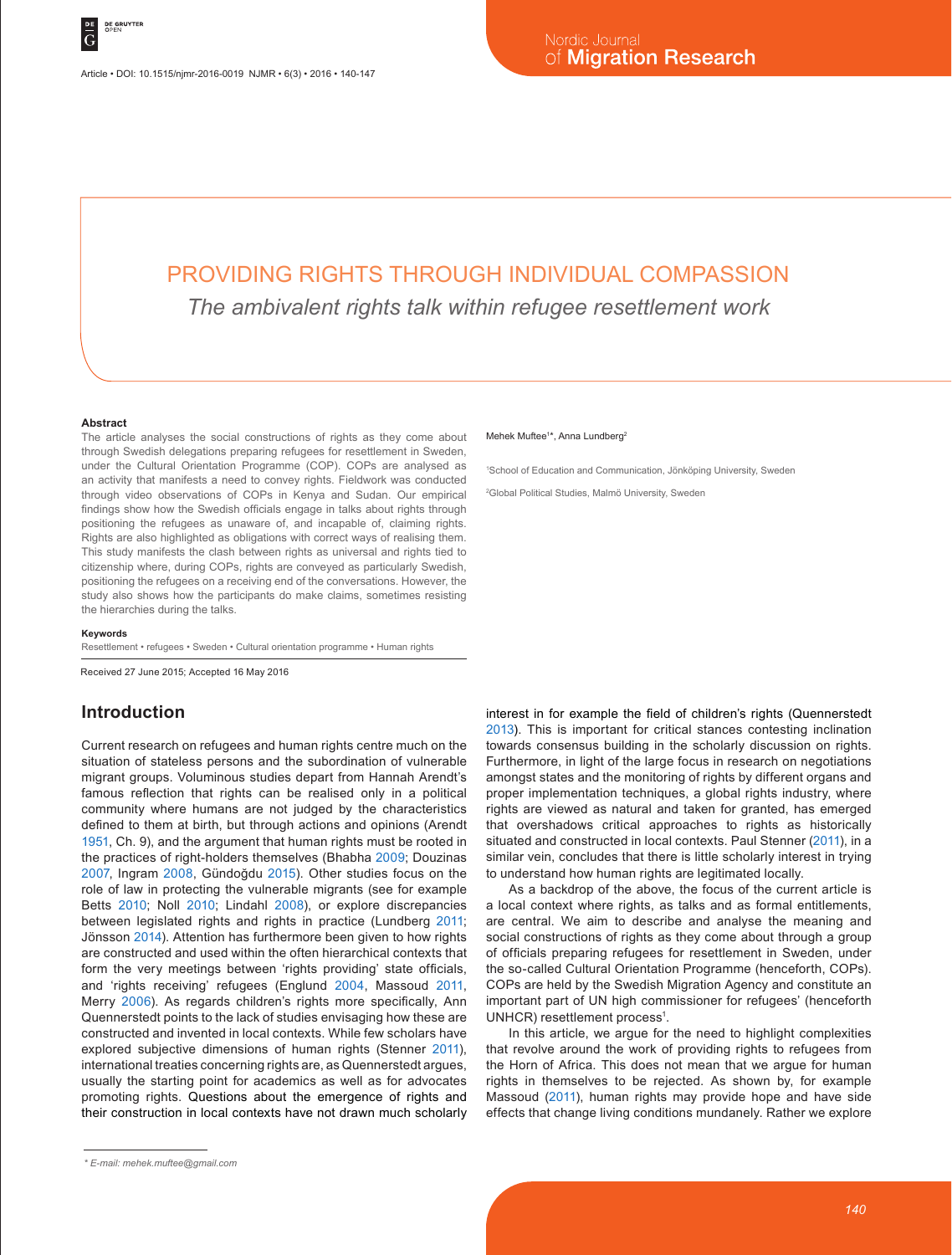# PROVIDING RIGHTS THROUGH INDIVIDUAL COMPASSION *The ambivalent rights talk within refugee resettlement work*

#### **Abstract**

The article analyses the social constructions of rights as they come about through Swedish delegations preparing refugees for resettlement in Sweden, under the Cultural Orientation Programme (COP). COPs are analysed as an activity that manifests a need to convey rights. Fieldwork was conducted through video observations of COPs in Kenya and Sudan. Our empirical findings show how the Swedish officials engage in talks about rights through positioning the refugees as unaware of, and incapable of, claiming rights. Rights are also highlighted as obligations with correct ways of realising them. This study manifests the clash between rights as universal and rights tied to citizenship where, during COPs, rights are conveyed as particularly Swedish, positioning the refugees on a receiving end of the conversations. However, the study also shows how the participants do make claims, sometimes resisting the hierarchies during the talks.

#### **Keywords**

Resettlement • refugees • Sweden • Cultural orientation programme • Human rights

Received 27 June 2015; Accepted 16 May 2016

### **Introduction**

Current research on refugees and human rights centre much on the situation of stateless persons and the subordination of vulnerable migrant groups. Voluminous studies depart from Hannah Arendt's famous reflection that rights can be realised only in a political community where humans are not judged by the characteristics defined to them at birth, but through actions and opinions (Arendt 1951, Ch. 9), and the argument that human rights must be rooted in the practices of right-holders themselves (Bhabha 2009; Douzinas 2007, Ingram 2008, Gündoğdu 2015). Other studies focus on the role of law in protecting the vulnerable migrants (see for example Betts 2010; Noll 2010; Lindahl 2008), or explore discrepancies between legislated rights and rights in practice (Lundberg 2011; Jönsson 2014). Attention has furthermore been given to how rights are constructed and used within the often hierarchical contexts that form the very meetings between 'rights providing' state officials, and 'rights receiving' refugees (Englund 2004, Massoud 2011, Merry 2006). As regards children's rights more specifically, Ann Quennerstedt points to the lack of studies envisaging how these are constructed and invented in local contexts. While few scholars have explored subjective dimensions of human rights (Stenner 2011), international treaties concerning rights are, as Quennerstedt argues, usually the starting point for academics as well as for advocates promoting rights. Questions about the emergence of rights and their construction in local contexts have not drawn much scholarly

#### Mehek Muftee<sup>1\*</sup>, Anna Lundberg<sup>2</sup>

1 School of Education and Communication, Jönköping University, Sweden

2 Global Political Studies, Malmö University, Sweden

interest in for example the field of children's rights (Quennerstedt 2013). This is important for critical stances contesting inclination towards consensus building in the scholarly discussion on rights. Furthermore, in light of the large focus in research on negotiations amongst states and the monitoring of rights by different organs and proper implementation techniques, a global rights industry, where rights are viewed as natural and taken for granted, has emerged that overshadows critical approaches to rights as historically situated and constructed in local contexts. Paul Stenner (2011), in a similar vein, concludes that there is little scholarly interest in trying to understand how human rights are legitimated locally.

As a backdrop of the above, the focus of the current article is a local context where rights, as talks and as formal entitlements, are central. We aim to describe and analyse the meaning and social constructions of rights as they come about through a group of officials preparing refugees for resettlement in Sweden, under the so-called Cultural Orientation Programme (henceforth, COPs). COPs are held by the Swedish Migration Agency and constitute an important part of UN high commissioner for refugees' (henceforth UNHCR) resettlement process<sup>1</sup>.

In this article, we argue for the need to highlight complexities that revolve around the work of providing rights to refugees from the Horn of Africa. This does not mean that we argue for human rights in themselves to be rejected. As shown by, for example Massoud (2011), human rights may provide hope and have side effects that change living conditions mundanely. Rather we explore

*<sup>\*</sup> E-mail: mehek.muftee@gmail.com*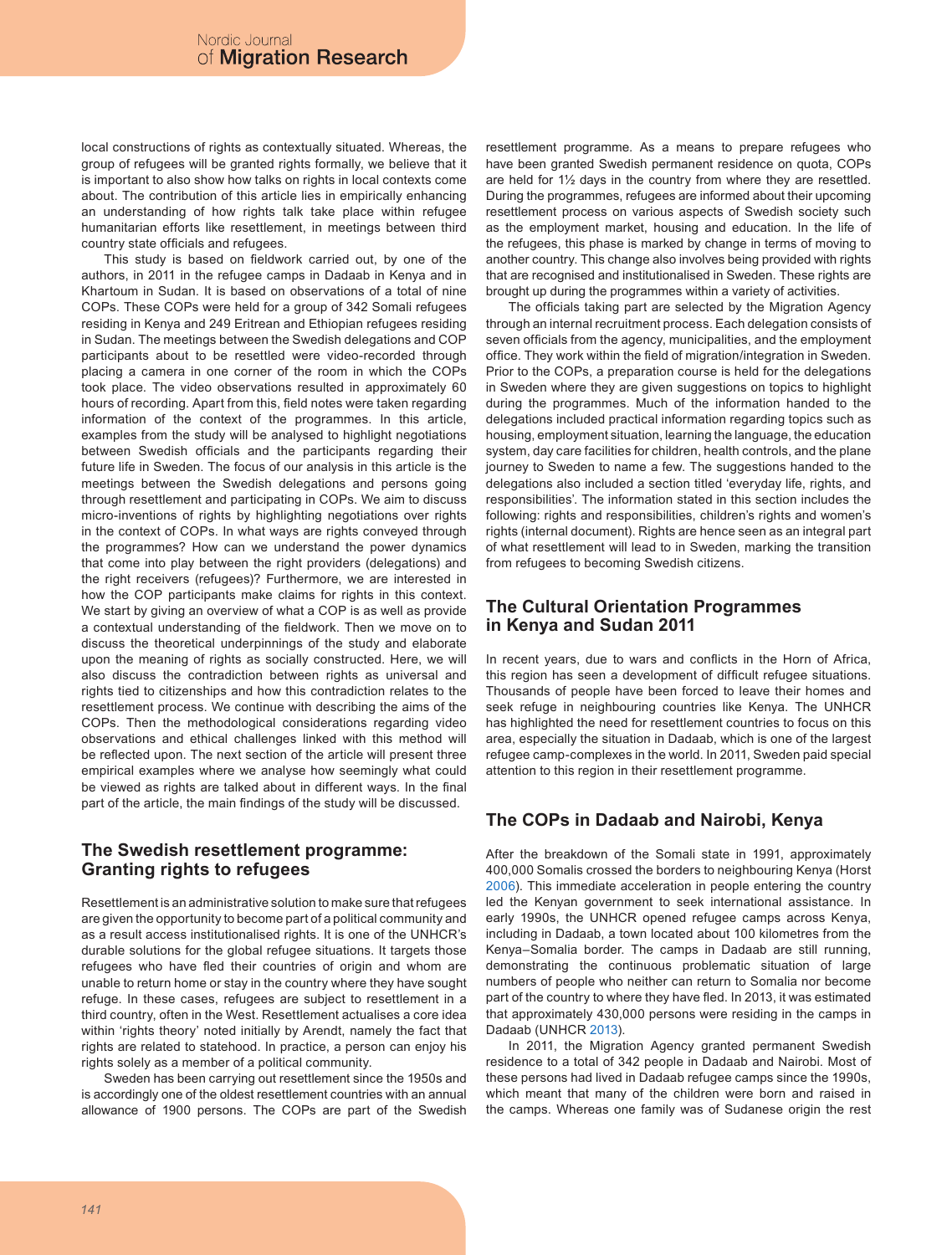local constructions of rights as contextually situated. Whereas, the group of refugees will be granted rights formally, we believe that it is important to also show how talks on rights in local contexts come about. The contribution of this article lies in empirically enhancing an understanding of how rights talk take place within refugee humanitarian efforts like resettlement, in meetings between third country state officials and refugees.

This study is based on fieldwork carried out, by one of the authors, in 2011 in the refugee camps in Dadaab in Kenya and in Khartoum in Sudan. It is based on observations of a total of nine COPs. These COPs were held for a group of 342 Somali refugees residing in Kenya and 249 Eritrean and Ethiopian refugees residing in Sudan. The meetings between the Swedish delegations and COP participants about to be resettled were video-recorded through placing a camera in one corner of the room in which the COPs took place. The video observations resulted in approximately 60 hours of recording. Apart from this, field notes were taken regarding information of the context of the programmes. In this article, examples from the study will be analysed to highlight negotiations between Swedish officials and the participants regarding their future life in Sweden. The focus of our analysis in this article is the meetings between the Swedish delegations and persons going through resettlement and participating in COPs. We aim to discuss micro-inventions of rights by highlighting negotiations over rights in the context of COPs. In what ways are rights conveyed through the programmes? How can we understand the power dynamics that come into play between the right providers (delegations) and the right receivers (refugees)? Furthermore, we are interested in how the COP participants make claims for rights in this context. We start by giving an overview of what a COP is as well as provide a contextual understanding of the fieldwork. Then we move on to discuss the theoretical underpinnings of the study and elaborate upon the meaning of rights as socially constructed. Here, we will also discuss the contradiction between rights as universal and rights tied to citizenships and how this contradiction relates to the resettlement process. We continue with describing the aims of the COPs. Then the methodological considerations regarding video observations and ethical challenges linked with this method will be reflected upon. The next section of the article will present three empirical examples where we analyse how seemingly what could be viewed as rights are talked about in different ways. In the final part of the article, the main findings of the study will be discussed.

# **The Swedish resettlement programme: Granting rights to refugees**

Resettlement is an administrative solution to make sure that refugees are given the opportunity to become part of a political community and as a result access institutionalised rights. It is one of the UNHCR's durable solutions for the global refugee situations. It targets those refugees who have fled their countries of origin and whom are unable to return home or stay in the country where they have sought refuge. In these cases, refugees are subject to resettlement in a third country, often in the West. Resettlement actualises a core idea within 'rights theory' noted initially by Arendt, namely the fact that rights are related to statehood. In practice, a person can enjoy his rights solely as a member of a political community.

Sweden has been carrying out resettlement since the 1950s and is accordingly one of the oldest resettlement countries with an annual allowance of 1900 persons. The COPs are part of the Swedish resettlement programme. As a means to prepare refugees who have been granted Swedish permanent residence on quota, COPs are held for 1½ days in the country from where they are resettled. During the programmes, refugees are informed about their upcoming resettlement process on various aspects of Swedish society such as the employment market, housing and education. In the life of the refugees, this phase is marked by change in terms of moving to another country. This change also involves being provided with rights that are recognised and institutionalised in Sweden. These rights are brought up during the programmes within a variety of activities.

The officials taking part are selected by the Migration Agency through an internal recruitment process. Each delegation consists of seven officials from the agency, municipalities, and the employment office. They work within the field of migration/integration in Sweden. Prior to the COPs, a preparation course is held for the delegations in Sweden where they are given suggestions on topics to highlight during the programmes. Much of the information handed to the delegations included practical information regarding topics such as housing, employment situation, learning the language, the education system, day care facilities for children, health controls, and the plane journey to Sweden to name a few. The suggestions handed to the delegations also included a section titled 'everyday life, rights, and responsibilities'. The information stated in this section includes the following: rights and responsibilities, children's rights and women's rights (internal document). Rights are hence seen as an integral part of what resettlement will lead to in Sweden, marking the transition from refugees to becoming Swedish citizens.

# **The Cultural Orientation Programmes in Kenya and Sudan 2011**

In recent years, due to wars and conflicts in the Horn of Africa, this region has seen a development of difficult refugee situations. Thousands of people have been forced to leave their homes and seek refuge in neighbouring countries like Kenya. The UNHCR has highlighted the need for resettlement countries to focus on this area, especially the situation in Dadaab, which is one of the largest refugee camp-complexes in the world. In 2011, Sweden paid special attention to this region in their resettlement programme.

# **The COPs in Dadaab and Nairobi, Kenya**

After the breakdown of the Somali state in 1991, approximately 400,000 Somalis crossed the borders to neighbouring Kenya (Horst 2006). This immediate acceleration in people entering the country led the Kenyan government to seek international assistance. In early 1990s, the UNHCR opened refugee camps across Kenya, including in Dadaab, a town located about 100 kilometres from the Kenya–Somalia border. The camps in Dadaab are still running, demonstrating the continuous problematic situation of large numbers of people who neither can return to Somalia nor become part of the country to where they have fled. In 2013, it was estimated that approximately 430,000 persons were residing in the camps in Dadaab (UNHCR 2013).

In 2011, the Migration Agency granted permanent Swedish residence to a total of 342 people in Dadaab and Nairobi. Most of these persons had lived in Dadaab refugee camps since the 1990s, which meant that many of the children were born and raised in the camps. Whereas one family was of Sudanese origin the rest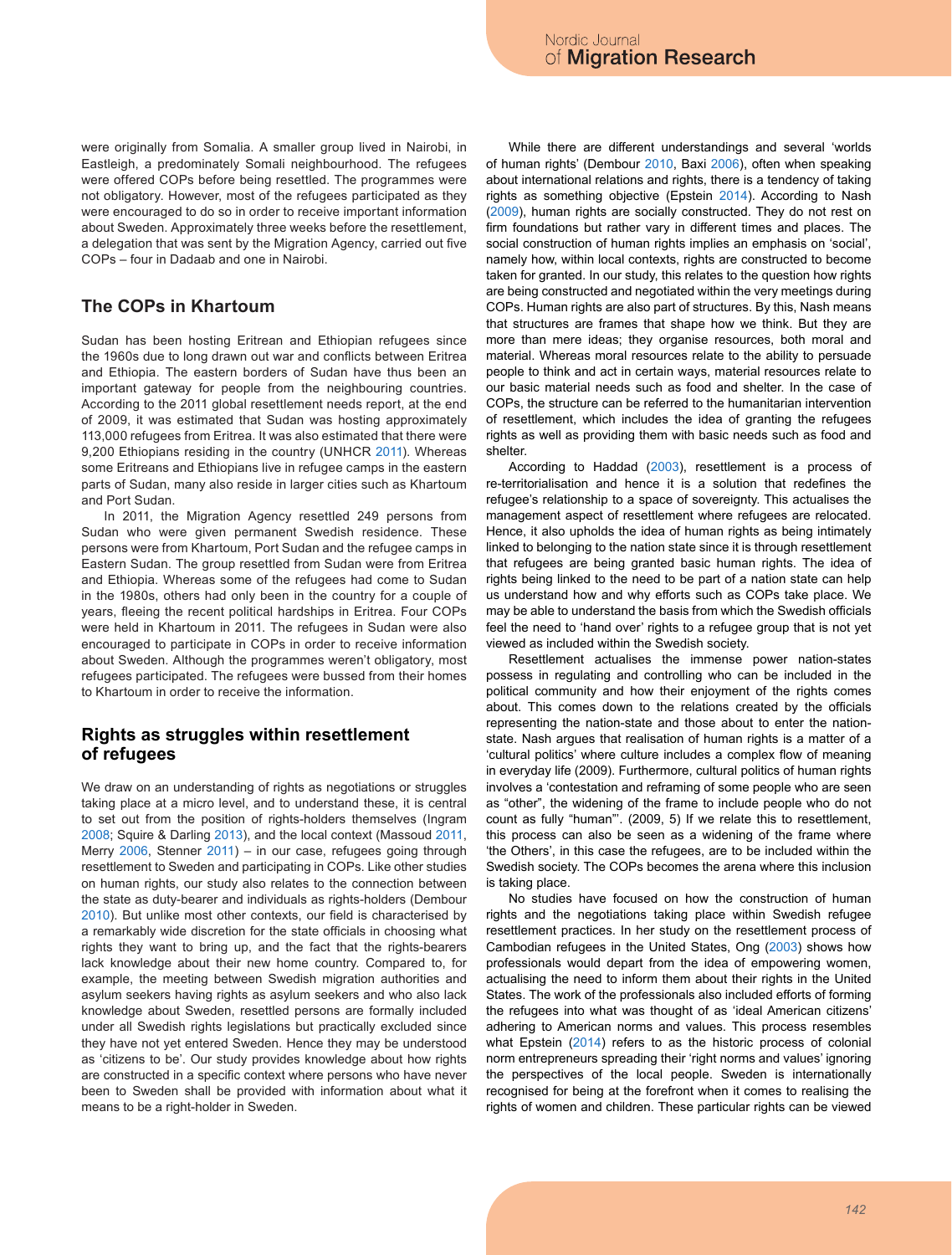were originally from Somalia. A smaller group lived in Nairobi, in Eastleigh, a predominately Somali neighbourhood. The refugees were offered COPs before being resettled. The programmes were not obligatory. However, most of the refugees participated as they were encouraged to do so in order to receive important information about Sweden. Approximately three weeks before the resettlement, a delegation that was sent by the Migration Agency, carried out five COPs – four in Dadaab and one in Nairobi.

# **The COPs in Khartoum**

Sudan has been hosting Eritrean and Ethiopian refugees since the 1960s due to long drawn out war and conflicts between Eritrea and Ethiopia. The eastern borders of Sudan have thus been an important gateway for people from the neighbouring countries. According to the 2011 global resettlement needs report, at the end of 2009, it was estimated that Sudan was hosting approximately 113,000 refugees from Eritrea. It was also estimated that there were 9,200 Ethiopians residing in the country (UNHCR 2011). Whereas some Eritreans and Ethiopians live in refugee camps in the eastern parts of Sudan, many also reside in larger cities such as Khartoum and Port Sudan.

In 2011, the Migration Agency resettled 249 persons from Sudan who were given permanent Swedish residence. These persons were from Khartoum, Port Sudan and the refugee camps in Eastern Sudan. The group resettled from Sudan were from Eritrea and Ethiopia. Whereas some of the refugees had come to Sudan in the 1980s, others had only been in the country for a couple of years, fleeing the recent political hardships in Eritrea. Four COPs were held in Khartoum in 2011. The refugees in Sudan were also encouraged to participate in COPs in order to receive information about Sweden. Although the programmes weren't obligatory, most refugees participated. The refugees were bussed from their homes to Khartoum in order to receive the information.

### **Rights as struggles within resettlement of refugees**

We draw on an understanding of rights as negotiations or struggles taking place at a micro level, and to understand these, it is central to set out from the position of rights-holders themselves (Ingram 2008; Squire & Darling 2013), and the local context (Massoud 2011, Merry 2006, Stenner 2011) – in our case, refugees going through resettlement to Sweden and participating in COPs. Like other studies on human rights, our study also relates to the connection between the state as duty-bearer and individuals as rights-holders (Dembour 2010). But unlike most other contexts, our field is characterised by a remarkably wide discretion for the state officials in choosing what rights they want to bring up, and the fact that the rights-bearers lack knowledge about their new home country. Compared to, for example, the meeting between Swedish migration authorities and asylum seekers having rights as asylum seekers and who also lack knowledge about Sweden, resettled persons are formally included under all Swedish rights legislations but practically excluded since they have not yet entered Sweden. Hence they may be understood as 'citizens to be'. Our study provides knowledge about how rights are constructed in a specific context where persons who have never been to Sweden shall be provided with information about what it means to be a right-holder in Sweden.

While there are different understandings and several 'worlds of human rights' (Dembour 2010, Baxi 2006), often when speaking about international relations and rights, there is a tendency of taking rights as something objective (Epstein 2014). According to Nash (2009), human rights are socially constructed. They do not rest on firm foundations but rather vary in different times and places. The social construction of human rights implies an emphasis on 'social', namely how, within local contexts, rights are constructed to become taken for granted. In our study, this relates to the question how rights are being constructed and negotiated within the very meetings during COPs. Human rights are also part of structures. By this, Nash means that structures are frames that shape how we think. But they are more than mere ideas; they organise resources, both moral and material. Whereas moral resources relate to the ability to persuade people to think and act in certain ways, material resources relate to our basic material needs such as food and shelter. In the case of COPs, the structure can be referred to the humanitarian intervention of resettlement, which includes the idea of granting the refugees rights as well as providing them with basic needs such as food and shelter.

According to Haddad (2003), resettlement is a process of re-territorialisation and hence it is a solution that redefines the refugee's relationship to a space of sovereignty. This actualises the management aspect of resettlement where refugees are relocated. Hence, it also upholds the idea of human rights as being intimately linked to belonging to the nation state since it is through resettlement that refugees are being granted basic human rights. The idea of rights being linked to the need to be part of a nation state can help us understand how and why efforts such as COPs take place. We may be able to understand the basis from which the Swedish officials feel the need to 'hand over' rights to a refugee group that is not yet viewed as included within the Swedish society.

Resettlement actualises the immense power nation-states possess in regulating and controlling who can be included in the political community and how their enjoyment of the rights comes about. This comes down to the relations created by the officials representing the nation-state and those about to enter the nationstate. Nash argues that realisation of human rights is a matter of a 'cultural politics' where culture includes a complex flow of meaning in everyday life (2009). Furthermore, cultural politics of human rights involves a 'contestation and reframing of some people who are seen as "other", the widening of the frame to include people who do not count as fully "human"'. (2009, 5) If we relate this to resettlement, this process can also be seen as a widening of the frame where 'the Others', in this case the refugees, are to be included within the Swedish society. The COPs becomes the arena where this inclusion is taking place.

No studies have focused on how the construction of human rights and the negotiations taking place within Swedish refugee resettlement practices. In her study on the resettlement process of Cambodian refugees in the United States, Ong (2003) shows how professionals would depart from the idea of empowering women, actualising the need to inform them about their rights in the United States. The work of the professionals also included efforts of forming the refugees into what was thought of as 'ideal American citizens' adhering to American norms and values. This process resembles what Epstein (2014) refers to as the historic process of colonial norm entrepreneurs spreading their 'right norms and values' ignoring the perspectives of the local people. Sweden is internationally recognised for being at the forefront when it comes to realising the rights of women and children. These particular rights can be viewed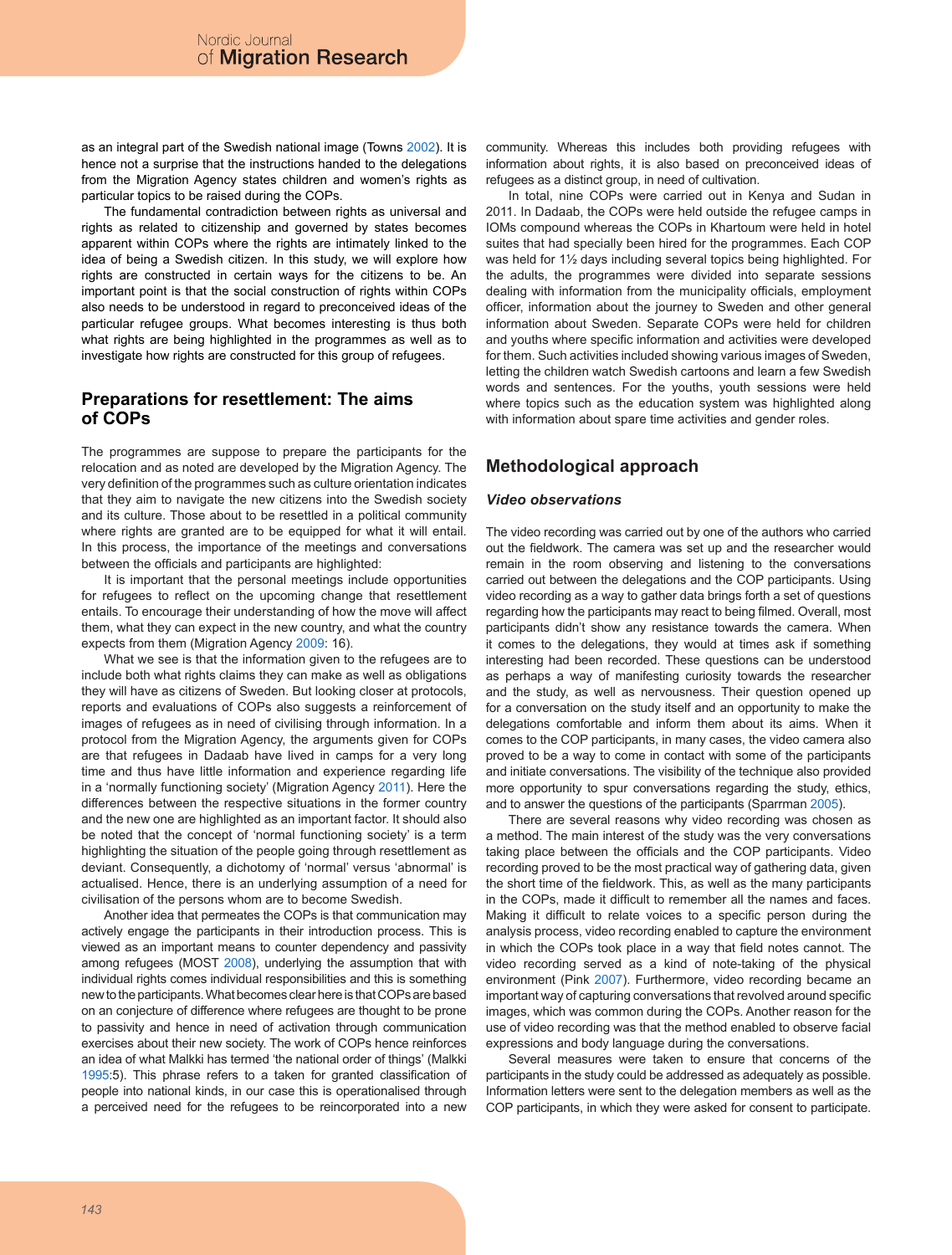as an integral part of the Swedish national image (Towns 2002). It is hence not a surprise that the instructions handed to the delegations from the Migration Agency states children and women's rights as particular topics to be raised during the COPs.

The fundamental contradiction between rights as universal and rights as related to citizenship and governed by states becomes apparent within COPs where the rights are intimately linked to the idea of being a Swedish citizen. In this study, we will explore how rights are constructed in certain ways for the citizens to be. An important point is that the social construction of rights within COPs also needs to be understood in regard to preconceived ideas of the particular refugee groups. What becomes interesting is thus both what rights are being highlighted in the programmes as well as to investigate how rights are constructed for this group of refugees.

### **Preparations for resettlement: The aims of COPs**

The programmes are suppose to prepare the participants for the relocation and as noted are developed by the Migration Agency. The very definition of the programmes such as culture orientation indicates that they aim to navigate the new citizens into the Swedish society and its culture. Those about to be resettled in a political community where rights are granted are to be equipped for what it will entail. In this process, the importance of the meetings and conversations between the officials and participants are highlighted:

It is important that the personal meetings include opportunities for refugees to reflect on the upcoming change that resettlement entails. To encourage their understanding of how the move will affect them, what they can expect in the new country, and what the country expects from them (Migration Agency 2009: 16).

What we see is that the information given to the refugees are to include both what rights claims they can make as well as obligations they will have as citizens of Sweden. But looking closer at protocols, reports and evaluations of COPs also suggests a reinforcement of images of refugees as in need of civilising through information. In a protocol from the Migration Agency, the arguments given for COPs are that refugees in Dadaab have lived in camps for a very long time and thus have little information and experience regarding life in a 'normally functioning society' (Migration Agency 2011). Here the differences between the respective situations in the former country and the new one are highlighted as an important factor. It should also be noted that the concept of 'normal functioning society' is a term highlighting the situation of the people going through resettlement as deviant. Consequently, a dichotomy of 'normal' versus 'abnormal' is actualised. Hence, there is an underlying assumption of a need for civilisation of the persons whom are to become Swedish.

Another idea that permeates the COPs is that communication may actively engage the participants in their introduction process. This is viewed as an important means to counter dependency and passivity among refugees (MOST 2008), underlying the assumption that with individual rights comes individual responsibilities and this is something new to the participants. What becomes clear here is that COPs are based on an conjecture of difference where refugees are thought to be prone to passivity and hence in need of activation through communication exercises about their new society. The work of COPs hence reinforces an idea of what Malkki has termed 'the national order of things' (Malkki 1995:5). This phrase refers to a taken for granted classification of people into national kinds, in our case this is operationalised through a perceived need for the refugees to be reincorporated into a new

community. Whereas this includes both providing refugees with information about rights, it is also based on preconceived ideas of refugees as a distinct group, in need of cultivation.

In total, nine COPs were carried out in Kenya and Sudan in 2011. In Dadaab, the COPs were held outside the refugee camps in IOMs compound whereas the COPs in Khartoum were held in hotel suites that had specially been hired for the programmes. Each COP was held for 1½ days including several topics being highlighted. For the adults, the programmes were divided into separate sessions dealing with information from the municipality officials, employment officer, information about the journey to Sweden and other general information about Sweden. Separate COPs were held for children and youths where specific information and activities were developed for them. Such activities included showing various images of Sweden, letting the children watch Swedish cartoons and learn a few Swedish words and sentences. For the youths, youth sessions were held where topics such as the education system was highlighted along with information about spare time activities and gender roles.

# **Methodological approach**

#### *Video observations*

The video recording was carried out by one of the authors who carried out the fieldwork. The camera was set up and the researcher would remain in the room observing and listening to the conversations carried out between the delegations and the COP participants. Using video recording as a way to gather data brings forth a set of questions regarding how the participants may react to being filmed. Overall, most participants didn't show any resistance towards the camera. When it comes to the delegations, they would at times ask if something interesting had been recorded. These questions can be understood as perhaps a way of manifesting curiosity towards the researcher and the study, as well as nervousness. Their question opened up for a conversation on the study itself and an opportunity to make the delegations comfortable and inform them about its aims. When it comes to the COP participants, in many cases, the video camera also proved to be a way to come in contact with some of the participants and initiate conversations. The visibility of the technique also provided more opportunity to spur conversations regarding the study, ethics, and to answer the questions of the participants (Sparrman 2005).

There are several reasons why video recording was chosen as a method. The main interest of the study was the very conversations taking place between the officials and the COP participants. Video recording proved to be the most practical way of gathering data, given the short time of the fieldwork. This, as well as the many participants in the COPs, made it difficult to remember all the names and faces. Making it difficult to relate voices to a specific person during the analysis process, video recording enabled to capture the environment in which the COPs took place in a way that field notes cannot. The video recording served as a kind of note-taking of the physical environment (Pink 2007). Furthermore, video recording became an important way of capturing conversations that revolved around specific images, which was common during the COPs. Another reason for the use of video recording was that the method enabled to observe facial expressions and body language during the conversations.

Several measures were taken to ensure that concerns of the participants in the study could be addressed as adequately as possible. Information letters were sent to the delegation members as well as the COP participants, in which they were asked for consent to participate.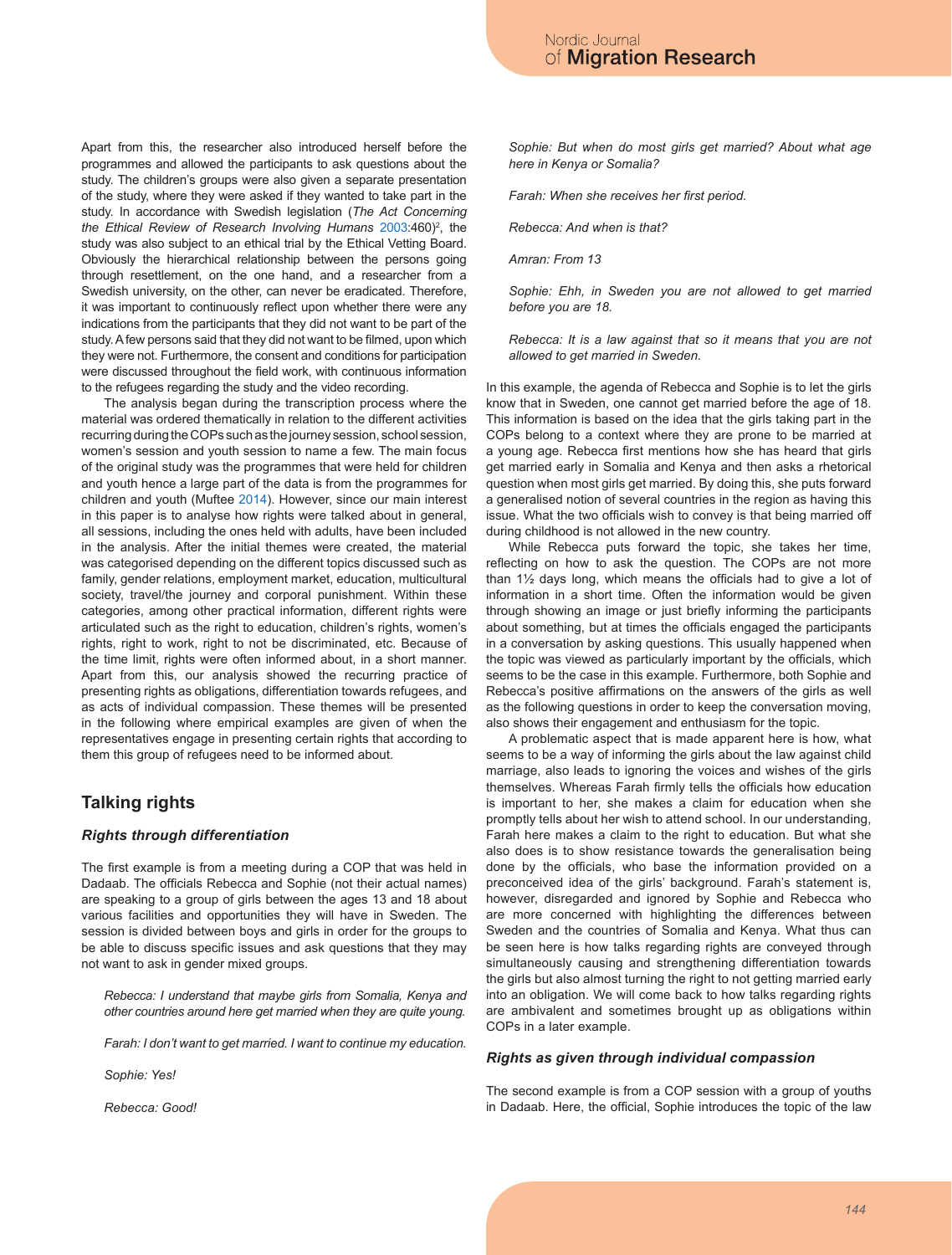Apart from this, the researcher also introduced herself before the programmes and allowed the participants to ask questions about the study. The children's groups were also given a separate presentation of the study, where they were asked if they wanted to take part in the study. In accordance with Swedish legislation (*The Act Concerning*  the Ethical Review of Research Involving Humans 2003:460)<sup>2</sup>, the study was also subject to an ethical trial by the Ethical Vetting Board. Obviously the hierarchical relationship between the persons going through resettlement, on the one hand, and a researcher from a Swedish university, on the other, can never be eradicated. Therefore, it was important to continuously reflect upon whether there were any indications from the participants that they did not want to be part of the study. A few persons said that they did not want to be filmed, upon which they were not. Furthermore, the consent and conditions for participation were discussed throughout the field work, with continuous information to the refugees regarding the study and the video recording.

The analysis began during the transcription process where the material was ordered thematically in relation to the different activities recurring during the COPs such as the journey session, school session, women's session and youth session to name a few. The main focus of the original study was the programmes that were held for children and youth hence a large part of the data is from the programmes for children and youth (Muftee 2014). However, since our main interest in this paper is to analyse how rights were talked about in general, all sessions, including the ones held with adults, have been included in the analysis. After the initial themes were created, the material was categorised depending on the different topics discussed such as family, gender relations, employment market, education, multicultural society, travel/the journey and corporal punishment. Within these categories, among other practical information, different rights were articulated such as the right to education, children's rights, women's rights, right to work, right to not be discriminated, etc. Because of the time limit, rights were often informed about, in a short manner. Apart from this, our analysis showed the recurring practice of presenting rights as obligations, differentiation towards refugees, and as acts of individual compassion. These themes will be presented in the following where empirical examples are given of when the representatives engage in presenting certain rights that according to them this group of refugees need to be informed about.

# **Talking rights**

#### *Rights through differentiation*

The first example is from a meeting during a COP that was held in Dadaab. The officials Rebecca and Sophie (not their actual names) are speaking to a group of girls between the ages 13 and 18 about various facilities and opportunities they will have in Sweden. The session is divided between boys and girls in order for the groups to be able to discuss specific issues and ask questions that they may not want to ask in gender mixed groups.

*Rebecca: I understand that maybe girls from Somalia, Kenya and other countries around here get married when they are quite young.*

*Farah: I don't want to get married. I want to continue my education.*

*Sophie: Yes!*

*Rebecca: Good!*

*Sophie: But when do most girls get married? About what age here in Kenya or Somalia?*

*Farah: When she receives her first period.*

*Rebecca: And when is that?*

*Amran: From 13*

*Sophie: Ehh, in Sweden you are not allowed to get married before you are 18.*

*Rebecca: It is a law against that so it means that you are not allowed to get married in Sweden.*

In this example, the agenda of Rebecca and Sophie is to let the girls know that in Sweden, one cannot get married before the age of 18. This information is based on the idea that the girls taking part in the COPs belong to a context where they are prone to be married at a young age. Rebecca first mentions how she has heard that girls get married early in Somalia and Kenya and then asks a rhetorical question when most girls get married. By doing this, she puts forward a generalised notion of several countries in the region as having this issue. What the two officials wish to convey is that being married off during childhood is not allowed in the new country.

While Rebecca puts forward the topic, she takes her time, reflecting on how to ask the question. The COPs are not more than 1½ days long, which means the officials had to give a lot of information in a short time. Often the information would be given through showing an image or just briefly informing the participants about something, but at times the officials engaged the participants in a conversation by asking questions. This usually happened when the topic was viewed as particularly important by the officials, which seems to be the case in this example. Furthermore, both Sophie and Rebecca's positive affirmations on the answers of the girls as well as the following questions in order to keep the conversation moving, also shows their engagement and enthusiasm for the topic.

A problematic aspect that is made apparent here is how, what seems to be a way of informing the girls about the law against child marriage, also leads to ignoring the voices and wishes of the girls themselves. Whereas Farah firmly tells the officials how education is important to her, she makes a claim for education when she promptly tells about her wish to attend school. In our understanding, Farah here makes a claim to the right to education. But what she also does is to show resistance towards the generalisation being done by the officials, who base the information provided on a preconceived idea of the girls' background. Farah's statement is, however, disregarded and ignored by Sophie and Rebecca who are more concerned with highlighting the differences between Sweden and the countries of Somalia and Kenya. What thus can be seen here is how talks regarding rights are conveyed through simultaneously causing and strengthening differentiation towards the girls but also almost turning the right to not getting married early into an obligation. We will come back to how talks regarding rights are ambivalent and sometimes brought up as obligations within COPs in a later example.

#### *Rights as given through individual compassion*

The second example is from a COP session with a group of youths in Dadaab. Here, the official, Sophie introduces the topic of the law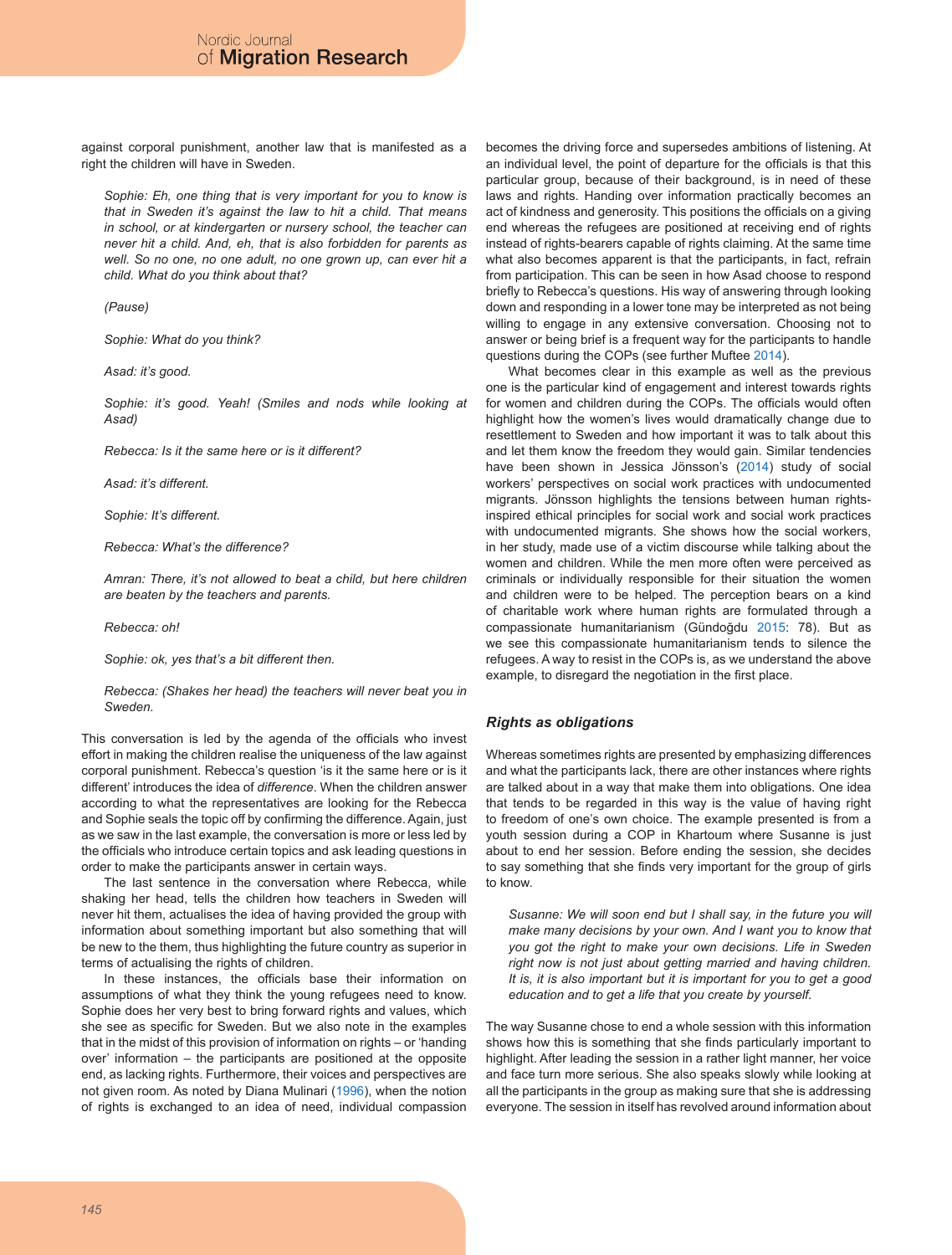against corporal punishment, another law that is manifested as a right the children will have in Sweden.

*Sophie: Eh, one thing that is very important for you to know is that in Sweden it's against the law to hit a child. That means in school, or at kindergarten or nursery school, the teacher can never hit a child. And, eh, that is also forbidden for parents as well. So no one, no one adult, no one grown up, can ever hit a child. What do you think about that?*

*(Pause)*

*Sophie: What do you think?*

*Asad: it's good.*

Sophie: it's good. Yeah! (Smiles and nods while looking at *Asad)*

*Rebecca: Is it the same here or is it different?*

*Asad: it's different.*

*Sophie: It's different.*

*Rebecca: What's the difference?*

*Amran: There, it's not allowed to beat a child, but here children are beaten by the teachers and parents.*

*Rebecca: oh!*

*Sophie: ok, yes that's a bit different then.*

*Rebecca: (Shakes her head) the teachers will never beat you in Sweden.*

This conversation is led by the agenda of the officials who invest effort in making the children realise the uniqueness of the law against corporal punishment. Rebecca's question 'is it the same here or is it different' introduces the idea of *difference*. When the children answer according to what the representatives are looking for the Rebecca and Sophie seals the topic off by confirming the difference. Again, just as we saw in the last example, the conversation is more or less led by the officials who introduce certain topics and ask leading questions in order to make the participants answer in certain ways.

The last sentence in the conversation where Rebecca, while shaking her head, tells the children how teachers in Sweden will never hit them, actualises the idea of having provided the group with information about something important but also something that will be new to the them, thus highlighting the future country as superior in terms of actualising the rights of children.

In these instances, the officials base their information on assumptions of what they think the young refugees need to know. Sophie does her very best to bring forward rights and values, which she see as specific for Sweden. But we also note in the examples that in the midst of this provision of information on rights – or 'handing over' information – the participants are positioned at the opposite end, as lacking rights. Furthermore, their voices and perspectives are not given room. As noted by Diana Mulinari (1996), when the notion of rights is exchanged to an idea of need, individual compassion becomes the driving force and supersedes ambitions of listening. At an individual level, the point of departure for the officials is that this particular group, because of their background, is in need of these laws and rights. Handing over information practically becomes an act of kindness and generosity. This positions the officials on a giving end whereas the refugees are positioned at receiving end of rights instead of rights-bearers capable of rights claiming. At the same time what also becomes apparent is that the participants, in fact, refrain from participation. This can be seen in how Asad choose to respond briefly to Rebecca's questions. His way of answering through looking down and responding in a lower tone may be interpreted as not being willing to engage in any extensive conversation. Choosing not to answer or being brief is a frequent way for the participants to handle questions during the COPs (see further Muftee 2014).

What becomes clear in this example as well as the previous one is the particular kind of engagement and interest towards rights for women and children during the COPs. The officials would often highlight how the women's lives would dramatically change due to resettlement to Sweden and how important it was to talk about this and let them know the freedom they would gain. Similar tendencies have been shown in Jessica Jönsson's (2014) study of social workers' perspectives on social work practices with undocumented migrants. Jönsson highlights the tensions between human rightsinspired ethical principles for social work and social work practices with undocumented migrants. She shows how the social workers, in her study, made use of a victim discourse while talking about the women and children. While the men more often were perceived as criminals or individually responsible for their situation the women and children were to be helped. The perception bears on a kind of charitable work where human rights are formulated through a compassionate humanitarianism (Gündoğdu 2015: 78). But as we see this compassionate humanitarianism tends to silence the refugees. A way to resist in the COPs is, as we understand the above example, to disregard the negotiation in the first place.

#### *Rights as obligations*

Whereas sometimes rights are presented by emphasizing differences and what the participants lack, there are other instances where rights are talked about in a way that make them into obligations. One idea that tends to be regarded in this way is the value of having right to freedom of one's own choice. The example presented is from a youth session during a COP in Khartoum where Susanne is just about to end her session. Before ending the session, she decides to say something that she finds very important for the group of girls to know.

*Susanne: We will soon end but I shall say, in the future you will make many decisions by your own. And I want you to know that you got the right to make your own decisions. Life in Sweden right now is not just about getting married and having children. It is, it is also important but it is important for you to get a good education and to get a life that you create by yourself.*

The way Susanne chose to end a whole session with this information shows how this is something that she finds particularly important to highlight. After leading the session in a rather light manner, her voice and face turn more serious. She also speaks slowly while looking at all the participants in the group as making sure that she is addressing everyone. The session in itself has revolved around information about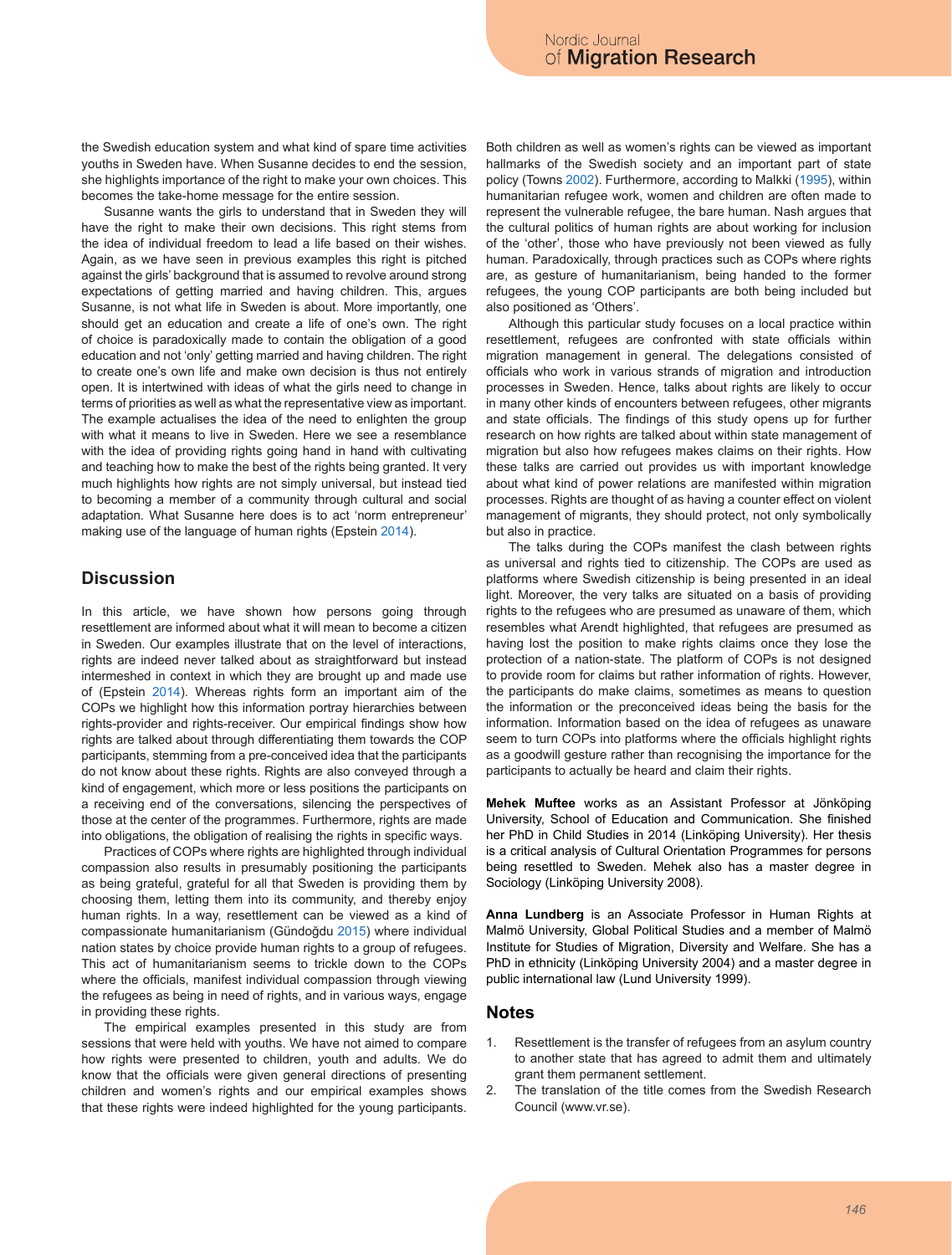the Swedish education system and what kind of spare time activities youths in Sweden have. When Susanne decides to end the session, she highlights importance of the right to make your own choices. This becomes the take-home message for the entire session.

Susanne wants the girls to understand that in Sweden they will have the right to make their own decisions. This right stems from the idea of individual freedom to lead a life based on their wishes. Again, as we have seen in previous examples this right is pitched against the girls' background that is assumed to revolve around strong expectations of getting married and having children. This, argues Susanne, is not what life in Sweden is about. More importantly, one should get an education and create a life of one's own. The right of choice is paradoxically made to contain the obligation of a good education and not 'only' getting married and having children. The right to create one's own life and make own decision is thus not entirely open. It is intertwined with ideas of what the girls need to change in terms of priorities as well as what the representative view as important. The example actualises the idea of the need to enlighten the group with what it means to live in Sweden. Here we see a resemblance with the idea of providing rights going hand in hand with cultivating and teaching how to make the best of the rights being granted. It very much highlights how rights are not simply universal, but instead tied to becoming a member of a community through cultural and social adaptation. What Susanne here does is to act 'norm entrepreneur' making use of the language of human rights (Epstein 2014).

# **Discussion**

In this article, we have shown how persons going through resettlement are informed about what it will mean to become a citizen in Sweden. Our examples illustrate that on the level of interactions, rights are indeed never talked about as straightforward but instead intermeshed in context in which they are brought up and made use of (Epstein 2014). Whereas rights form an important aim of the COPs we highlight how this information portray hierarchies between rights-provider and rights-receiver. Our empirical findings show how rights are talked about through differentiating them towards the COP participants, stemming from a pre-conceived idea that the participants do not know about these rights. Rights are also conveyed through a kind of engagement, which more or less positions the participants on a receiving end of the conversations, silencing the perspectives of those at the center of the programmes. Furthermore, rights are made into obligations, the obligation of realising the rights in specific ways.

Practices of COPs where rights are highlighted through individual compassion also results in presumably positioning the participants as being grateful, grateful for all that Sweden is providing them by choosing them, letting them into its community, and thereby enjoy human rights. In a way, resettlement can be viewed as a kind of compassionate humanitarianism (Gündoğdu 2015) where individual nation states by choice provide human rights to a group of refugees. This act of humanitarianism seems to trickle down to the COPs where the officials, manifest individual compassion through viewing the refugees as being in need of rights, and in various ways, engage in providing these rights.

The empirical examples presented in this study are from sessions that were held with youths. We have not aimed to compare how rights were presented to children, youth and adults. We do know that the officials were given general directions of presenting children and women's rights and our empirical examples shows that these rights were indeed highlighted for the young participants.

Both children as well as women's rights can be viewed as important hallmarks of the Swedish society and an important part of state policy (Towns 2002). Furthermore, according to Malkki (1995), within humanitarian refugee work, women and children are often made to represent the vulnerable refugee, the bare human. Nash argues that the cultural politics of human rights are about working for inclusion of the 'other', those who have previously not been viewed as fully human. Paradoxically, through practices such as COPs where rights are, as gesture of humanitarianism, being handed to the former refugees, the young COP participants are both being included but also positioned as 'Others'.

Although this particular study focuses on a local practice within resettlement, refugees are confronted with state officials within migration management in general. The delegations consisted of officials who work in various strands of migration and introduction processes in Sweden. Hence, talks about rights are likely to occur in many other kinds of encounters between refugees, other migrants and state officials. The findings of this study opens up for further research on how rights are talked about within state management of migration but also how refugees makes claims on their rights. How these talks are carried out provides us with important knowledge about what kind of power relations are manifested within migration processes. Rights are thought of as having a counter effect on violent management of migrants, they should protect, not only symbolically but also in practice.

The talks during the COPs manifest the clash between rights as universal and rights tied to citizenship. The COPs are used as platforms where Swedish citizenship is being presented in an ideal light. Moreover, the very talks are situated on a basis of providing rights to the refugees who are presumed as unaware of them, which resembles what Arendt highlighted, that refugees are presumed as having lost the position to make rights claims once they lose the protection of a nation-state. The platform of COPs is not designed to provide room for claims but rather information of rights. However, the participants do make claims, sometimes as means to question the information or the preconceived ideas being the basis for the information. Information based on the idea of refugees as unaware seem to turn COPs into platforms where the officials highlight rights as a goodwill gesture rather than recognising the importance for the participants to actually be heard and claim their rights.

**Mehek Muftee** works as an Assistant Professor at Jönköping University, School of Education and Communication. She finished her PhD in Child Studies in 2014 (Linköping University). Her thesis is a critical analysis of Cultural Orientation Programmes for persons being resettled to Sweden. Mehek also has a master degree in Sociology (Linköping University 2008).

**Anna Lundberg** is an Associate Professor in Human Rights at Malmö University, Global Political Studies and a member of Malmö Institute for Studies of Migration, Diversity and Welfare. She has a PhD in ethnicity (Linköping University 2004) and a master degree in public international law (Lund University 1999).

#### **Notes**

- 1. Resettlement is the transfer of refugees from an asylum country to another state that has agreed to admit them and ultimately grant them permanent settlement.
- 2. The translation of the title comes from the Swedish Research Council (www.vr.se).